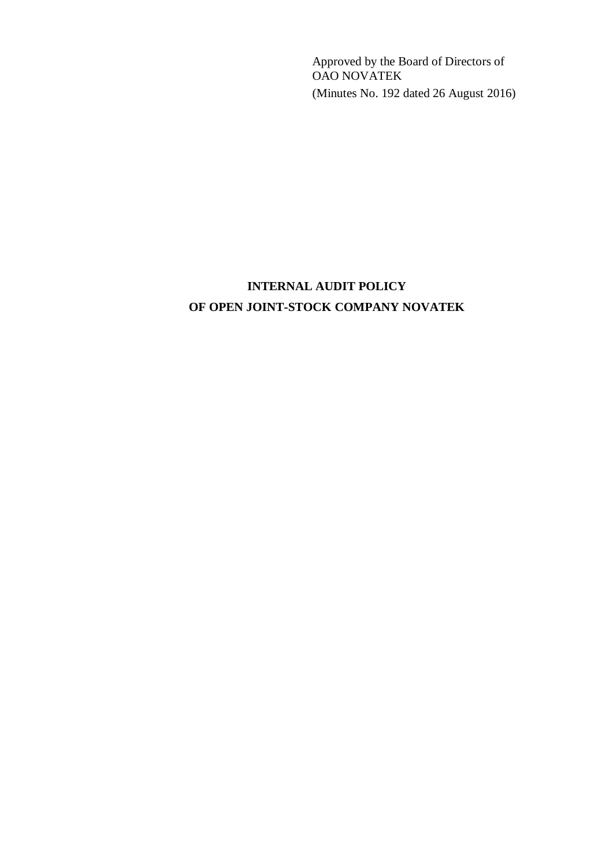Approved by the Board of Directors of OAO NOVATEK (Minutes No. 192 dated 26 August 2016)

# **INTERNAL AUDIT POLICY OF OPEN JOINT-STOCK COMPANY NOVATEK**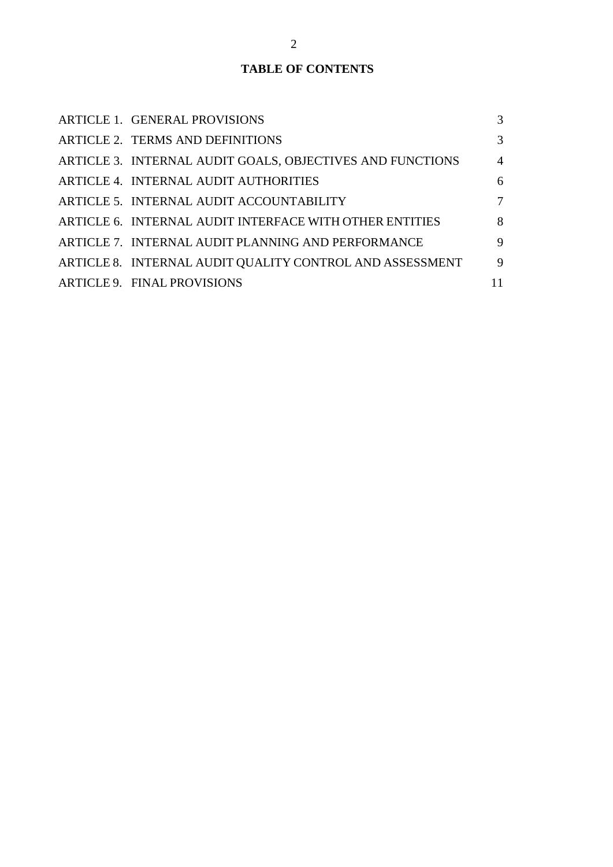## **TABLE OF CONTENTS**

| ARTICLE 1. GENERAL PROVISIONS                             | 3              |
|-----------------------------------------------------------|----------------|
| ARTICLE 2. TERMS AND DEFINITIONS                          | 3              |
| ARTICLE 3. INTERNAL AUDIT GOALS, OBJECTIVES AND FUNCTIONS | $\overline{4}$ |
| ARTICLE 4. INTERNAL AUDIT AUTHORITIES                     | 6              |
| ARTICLE 5. INTERNAL AUDIT ACCOUNTABILITY                  | 7              |
| ARTICLE 6. INTERNAL AUDIT INTERFACE WITH OTHER ENTITIES   | 8              |
| ARTICLE 7. INTERNAL AUDIT PLANNING AND PERFORMANCE        | 9              |
| ARTICLE 8. INTERNAL AUDIT QUALITY CONTROL AND ASSESSMENT  | 9              |
| ARTICLE 9. FINAL PROVISIONS                               | 11             |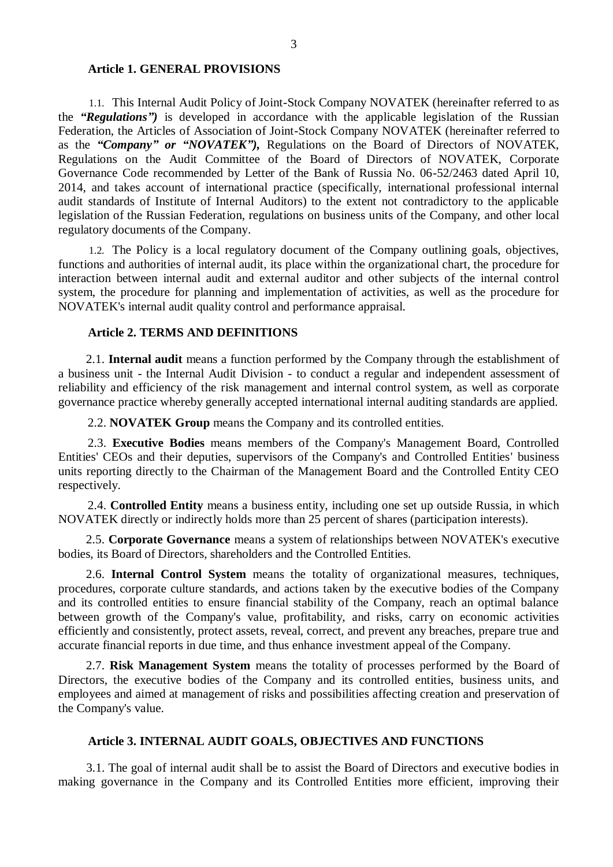#### **Article 1. GENERAL PROVISIONS**

1.1. This Internal Audit Policy of Joint-Stock Company NOVATEK (hereinafter referred to as the *"Regulations")* is developed in accordance with the applicable legislation of the Russian Federation, the Articles of Association of Joint-Stock Company NOVATEK (hereinafter referred to as the *"Company" or "NOVATEK"),* Regulations on the Board of Directors of NOVATEK, Regulations on the Audit Committee of the Board of Directors of NOVATEK, Corporate Governance Code recommended by Letter of the Bank of Russia No. 06-52/2463 dated April 10, 2014, and takes account of international practice (specifically, international professional internal audit standards of Institute of Internal Auditors) to the extent not contradictory to the applicable legislation of the Russian Federation, regulations on business units of the Company, and other local regulatory documents of the Company.

1.2. The Policy is a local regulatory document of the Company outlining goals, objectives, functions and authorities of internal audit, its place within the organizational chart, the procedure for interaction between internal audit and external auditor and other subjects of the internal control system, the procedure for planning and implementation of activities, as well as the procedure for NOVATEK's internal audit quality control and performance appraisal.

#### **Article 2. TERMS AND DEFINITIONS**

2.1. **Internal audit** means a function performed by the Company through the establishment of a business unit - the Internal Audit Division - to conduct a regular and independent assessment of reliability and efficiency of the risk management and internal control system, as well as corporate governance practice whereby generally accepted international internal auditing standards are applied.

2.2. **NOVATEK Group** means the Company and its controlled entities.

2.3. **Executive Bodies** means members of the Company's Management Board, Controlled Entities' CEOs and their deputies, supervisors of the Company's and Controlled Entities' business units reporting directly to the Chairman of the Management Board and the Controlled Entity CEO respectively.

2.4. **Controlled Entity** means a business entity, including one set up outside Russia, in which NOVATEK directly or indirectly holds more than 25 percent of shares (participation interests).

2.5. **Corporate Governance** means a system of relationships between NOVATEK's executive bodies, its Board of Directors, shareholders and the Controlled Entities.

2.6. **Internal Control System** means the totality of organizational measures, techniques, procedures, corporate culture standards, and actions taken by the executive bodies of the Company and its controlled entities to ensure financial stability of the Company, reach an optimal balance between growth of the Company's value, profitability, and risks, carry on economic activities efficiently and consistently, protect assets, reveal, correct, and prevent any breaches, prepare true and accurate financial reports in due time, and thus enhance investment appeal of the Company.

2.7. **Risk Management System** means the totality of processes performed by the Board of Directors, the executive bodies of the Company and its controlled entities, business units, and employees and aimed at management of risks and possibilities affecting creation and preservation of the Company's value.

#### **Article 3. INTERNAL AUDIT GOALS, OBJECTIVES AND FUNCTIONS**

3.1. The goal of internal audit shall be to assist the Board of Directors and executive bodies in making governance in the Company and its Controlled Entities more efficient, improving their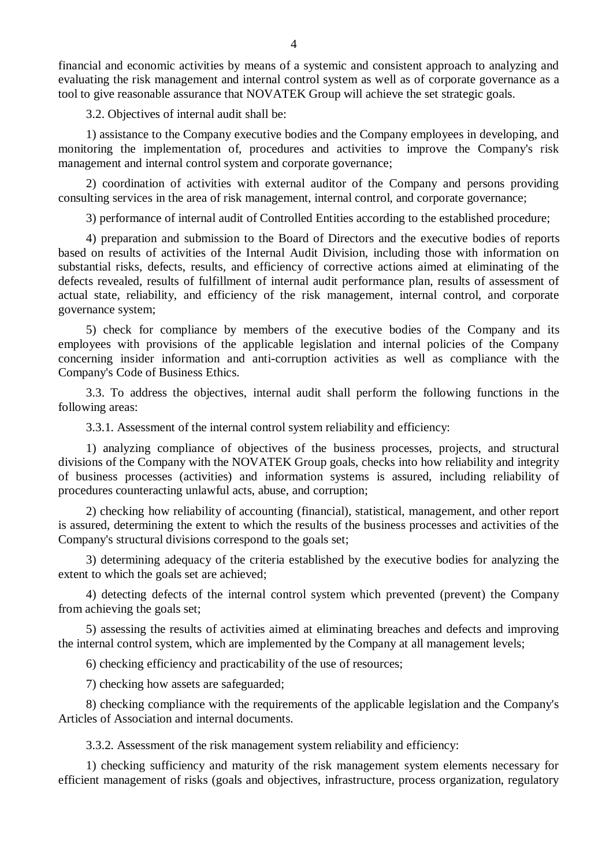financial and economic activities by means of a systemic and consistent approach to analyzing and evaluating the risk management and internal control system as well as of corporate governance as a tool to give reasonable assurance that NOVATEK Group will achieve the set strategic goals.

3.2. Objectives of internal audit shall be:

1) assistance to the Company executive bodies and the Company employees in developing, and monitoring the implementation of, procedures and activities to improve the Company's risk management and internal control system and corporate governance;

2) coordination of activities with external auditor of the Company and persons providing consulting services in the area of risk management, internal control, and corporate governance;

3) performance of internal audit of Controlled Entities according to the established procedure;

4) preparation and submission to the Board of Directors and the executive bodies of reports based on results of activities of the Internal Audit Division, including those with information on substantial risks, defects, results, and efficiency of corrective actions aimed at eliminating of the defects revealed, results of fulfillment of internal audit performance plan, results of assessment of actual state, reliability, and efficiency of the risk management, internal control, and corporate governance system;

5) check for compliance by members of the executive bodies of the Company and its employees with provisions of the applicable legislation and internal policies of the Company concerning insider information and anti-corruption activities as well as compliance with the Company's Code of Business Ethics.

3.3. To address the objectives, internal audit shall perform the following functions in the following areas:

3.3.1. Assessment of the internal control system reliability and efficiency:

1) analyzing compliance of objectives of the business processes, projects, and structural divisions of the Company with the NOVATEK Group goals, checks into how reliability and integrity of business processes (activities) and information systems is assured, including reliability of procedures counteracting unlawful acts, abuse, and corruption;

2) checking how reliability of accounting (financial), statistical, management, and other report is assured, determining the extent to which the results of the business processes and activities of the Company's structural divisions correspond to the goals set;

3) determining adequacy of the criteria established by the executive bodies for analyzing the extent to which the goals set are achieved;

4) detecting defects of the internal control system which prevented (prevent) the Company from achieving the goals set;

5) assessing the results of activities aimed at eliminating breaches and defects and improving the internal control system, which are implemented by the Company at all management levels;

6) checking efficiency and practicability of the use of resources;

7) checking how assets are safeguarded;

8) checking compliance with the requirements of the applicable legislation and the Company's Articles of Association and internal documents.

3.3.2. Assessment of the risk management system reliability and efficiency:

1) checking sufficiency and maturity of the risk management system elements necessary for efficient management of risks (goals and objectives, infrastructure, process organization, regulatory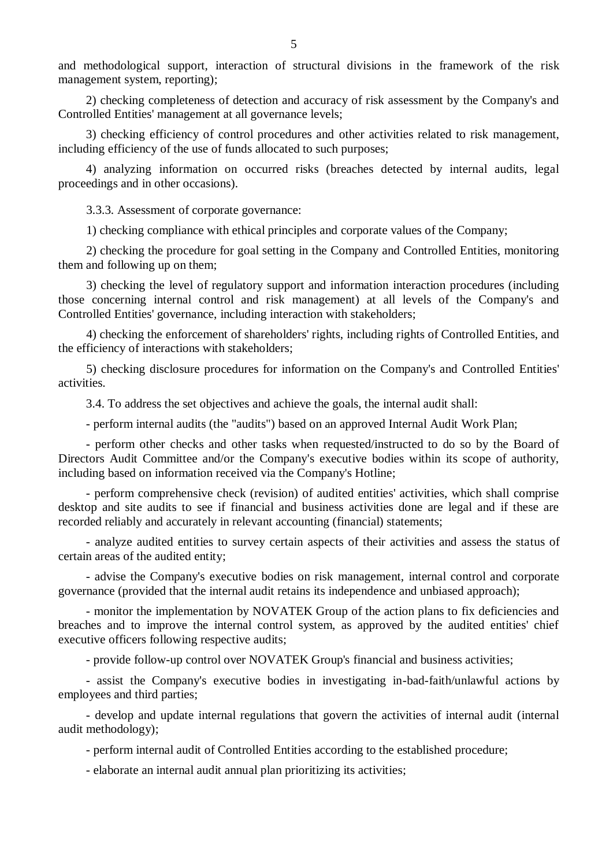and methodological support, interaction of structural divisions in the framework of the risk management system, reporting);

2) checking completeness of detection and accuracy of risk assessment by the Company's and Controlled Entities' management at all governance levels;

3) checking efficiency of control procedures and other activities related to risk management, including efficiency of the use of funds allocated to such purposes;

4) analyzing information on occurred risks (breaches detected by internal audits, legal proceedings and in other occasions).

3.3.3. Assessment of corporate governance:

1) checking compliance with ethical principles and corporate values of the Company;

2) checking the procedure for goal setting in the Company and Controlled Entities, monitoring them and following up on them;

3) checking the level of regulatory support and information interaction procedures (including those concerning internal control and risk management) at all levels of the Company's and Controlled Entities' governance, including interaction with stakeholders;

4) checking the enforcement of shareholders' rights, including rights of Controlled Entities, and the efficiency of interactions with stakeholders;

5) checking disclosure procedures for information on the Company's and Controlled Entities' activities.

3.4. To address the set objectives and achieve the goals, the internal audit shall:

- perform internal audits (the "audits") based on an approved Internal Audit Work Plan;

- perform other checks and other tasks when requested/instructed to do so by the Board of Directors Audit Committee and/or the Company's executive bodies within its scope of authority, including based on information received via the Company's Hotline;

- perform comprehensive check (revision) of audited entities' activities, which shall comprise desktop and site audits to see if financial and business activities done are legal and if these are recorded reliably and accurately in relevant accounting (financial) statements;

- analyze audited entities to survey certain aspects of their activities and assess the status of certain areas of the audited entity;

- advise the Company's executive bodies on risk management, internal control and corporate governance (provided that the internal audit retains its independence and unbiased approach);

- monitor the implementation by NOVATEK Group of the action plans to fix deficiencies and breaches and to improve the internal control system, as approved by the audited entities' chief executive officers following respective audits;

- provide follow-up control over NOVATEK Group's financial and business activities;

- assist the Company's executive bodies in investigating in-bad-faith/unlawful actions by employees and third parties;

- develop and update internal regulations that govern the activities of internal audit (internal audit methodology);

- perform internal audit of Controlled Entities according to the established procedure;

- elaborate an internal audit annual plan prioritizing its activities;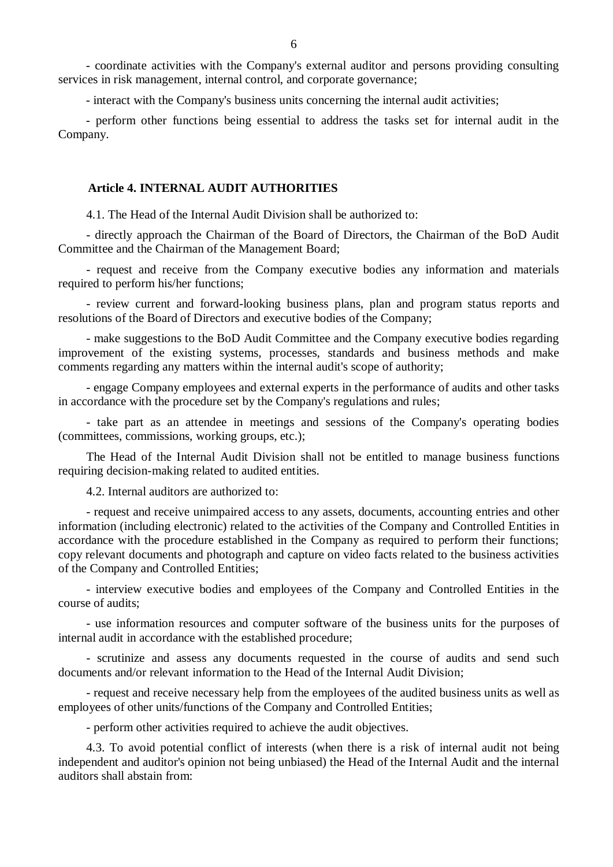- coordinate activities with the Company's external auditor and persons providing consulting services in risk management, internal control, and corporate governance;

- interact with the Company's business units concerning the internal audit activities;

- perform other functions being essential to address the tasks set for internal audit in the Company.

#### **Article 4. INTERNAL AUDIT AUTHORITIES**

4.1. The Head of the Internal Audit Division shall be authorized to:

- directly approach the Chairman of the Board of Directors, the Chairman of the BoD Audit Committee and the Chairman of the Management Board;

- request and receive from the Company executive bodies any information and materials required to perform his/her functions;

- review current and forward-looking business plans, plan and program status reports and resolutions of the Board of Directors and executive bodies of the Company;

- make suggestions to the BoD Audit Committee and the Company executive bodies regarding improvement of the existing systems, processes, standards and business methods and make comments regarding any matters within the internal audit's scope of authority;

- engage Company employees and external experts in the performance of audits and other tasks in accordance with the procedure set by the Company's regulations and rules;

- take part as an attendee in meetings and sessions of the Company's operating bodies (committees, commissions, working groups, etc.);

The Head of the Internal Audit Division shall not be entitled to manage business functions requiring decision-making related to audited entities.

4.2. Internal auditors are authorized to:

- request and receive unimpaired access to any assets, documents, accounting entries and other information (including electronic) related to the activities of the Company and Controlled Entities in accordance with the procedure established in the Company as required to perform their functions; copy relevant documents and photograph and capture on video facts related to the business activities of the Company and Controlled Entities;

- interview executive bodies and employees of the Company and Controlled Entities in the course of audits;

- use information resources and computer software of the business units for the purposes of internal audit in accordance with the established procedure;

- scrutinize and assess any documents requested in the course of audits and send such documents and/or relevant information to the Head of the Internal Audit Division;

- request and receive necessary help from the employees of the audited business units as well as employees of other units/functions of the Company and Controlled Entities;

- perform other activities required to achieve the audit objectives.

4.3. To avoid potential conflict of interests (when there is a risk of internal audit not being independent and auditor's opinion not being unbiased) the Head of the Internal Audit and the internal auditors shall abstain from: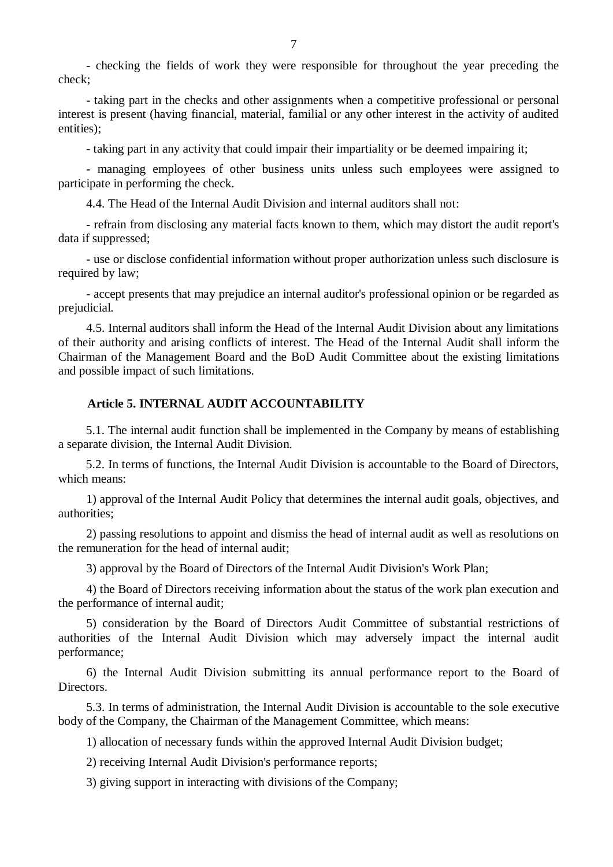- checking the fields of work they were responsible for throughout the year preceding the check;

- taking part in the checks and other assignments when a competitive professional or personal interest is present (having financial, material, familial or any other interest in the activity of audited entities);

- taking part in any activity that could impair their impartiality or be deemed impairing it;

- managing employees of other business units unless such employees were assigned to participate in performing the check.

4.4. The Head of the Internal Audit Division and internal auditors shall not:

- refrain from disclosing any material facts known to them, which may distort the audit report's data if suppressed;

- use or disclose confidential information without proper authorization unless such disclosure is required by law;

- accept presents that may prejudice an internal auditor's professional opinion or be regarded as prejudicial.

4.5. Internal auditors shall inform the Head of the Internal Audit Division about any limitations of their authority and arising conflicts of interest. The Head of the Internal Audit shall inform the Chairman of the Management Board and the BoD Audit Committee about the existing limitations and possible impact of such limitations.

#### **Article 5. INTERNAL AUDIT ACCOUNTABILITY**

5.1. The internal audit function shall be implemented in the Company by means of establishing a separate division, the Internal Audit Division.

5.2. In terms of functions, the Internal Audit Division is accountable to the Board of Directors, which means:

1) approval of the Internal Audit Policy that determines the internal audit goals, objectives, and authorities;

2) passing resolutions to appoint and dismiss the head of internal audit as well as resolutions on the remuneration for the head of internal audit;

3) approval by the Board of Directors of the Internal Audit Division's Work Plan;

4) the Board of Directors receiving information about the status of the work plan execution and the performance of internal audit;

5) consideration by the Board of Directors Audit Committee of substantial restrictions of authorities of the Internal Audit Division which may adversely impact the internal audit performance;

6) the Internal Audit Division submitting its annual performance report to the Board of Directors.

5.3. In terms of administration, the Internal Audit Division is accountable to the sole executive body of the Company, the Chairman of the Management Committee, which means:

1) allocation of necessary funds within the approved Internal Audit Division budget;

2) receiving Internal Audit Division's performance reports;

3) giving support in interacting with divisions of the Company;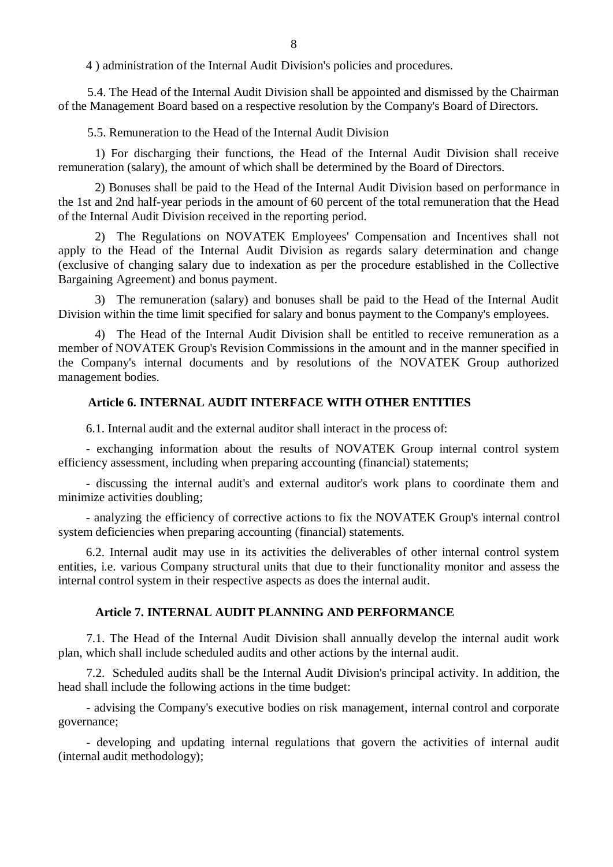4 ) administration of the Internal Audit Division's policies and procedures.

5.4. The Head of the Internal Audit Division shall be appointed and dismissed by the Chairman of the Management Board based on a respective resolution by the Company's Board of Directors.

5.5. Remuneration to the Head of the Internal Audit Division

1) For discharging their functions, the Head of the Internal Audit Division shall receive remuneration (salary), the amount of which shall be determined by the Board of Directors.

2) Bonuses shall be paid to the Head of the Internal Audit Division based on performance in the 1st and 2nd half-year periods in the amount of 60 percent of the total remuneration that the Head of the Internal Audit Division received in the reporting period.

2) The Regulations on NOVATEK Employees' Compensation and Incentives shall not apply to the Head of the Internal Audit Division as regards salary determination and change (exclusive of changing salary due to indexation as per the procedure established in the Collective Bargaining Agreement) and bonus payment.

3) The remuneration (salary) and bonuses shall be paid to the Head of the Internal Audit Division within the time limit specified for salary and bonus payment to the Company's employees.

4) The Head of the Internal Audit Division shall be entitled to receive remuneration as a member of NOVATEK Group's Revision Commissions in the amount and in the manner specified in the Company's internal documents and by resolutions of the NOVATEK Group authorized management bodies.

## **Article 6. INTERNAL AUDIT INTERFACE WITH OTHER ENTITIES**

6.1. Internal audit and the external auditor shall interact in the process of:

- exchanging information about the results of NOVATEK Group internal control system efficiency assessment, including when preparing accounting (financial) statements;

- discussing the internal audit's and external auditor's work plans to coordinate them and minimize activities doubling;

- analyzing the efficiency of corrective actions to fix the NOVATEK Group's internal control system deficiencies when preparing accounting (financial) statements.

6.2. Internal audit may use in its activities the deliverables of other internal control system entities, i.e. various Company structural units that due to their functionality monitor and assess the internal control system in their respective aspects as does the internal audit.

## **Article 7. INTERNAL AUDIT PLANNING AND PERFORMANCE**

7.1. The Head of the Internal Audit Division shall annually develop the internal audit work plan, which shall include scheduled audits and other actions by the internal audit.

7.2. Scheduled audits shall be the Internal Audit Division's principal activity. In addition, the head shall include the following actions in the time budget:

- advising the Company's executive bodies on risk management, internal control and corporate governance;

- developing and updating internal regulations that govern the activities of internal audit (internal audit methodology);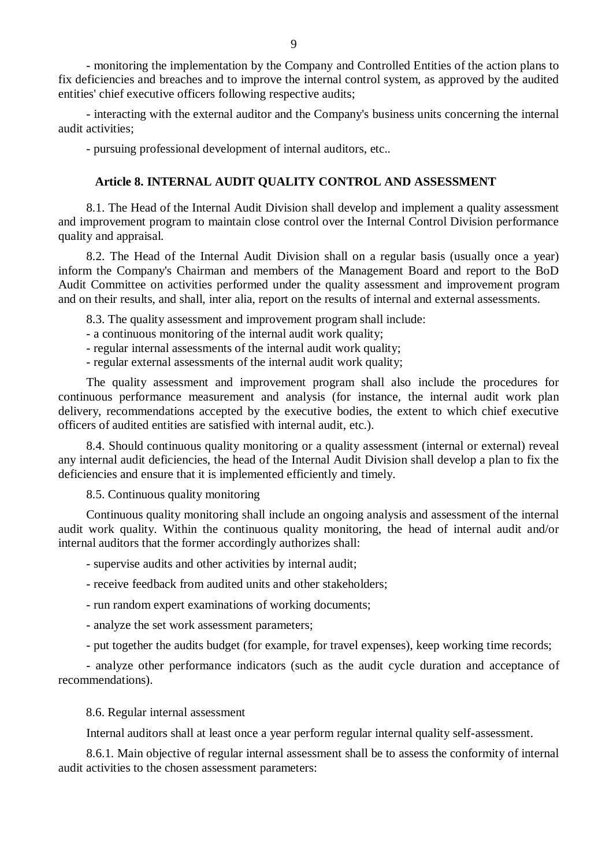- monitoring the implementation by the Company and Controlled Entities of the action plans to fix deficiencies and breaches and to improve the internal control system, as approved by the audited entities' chief executive officers following respective audits;

- interacting with the external auditor and the Company's business units concerning the internal audit activities;

- pursuing professional development of internal auditors, etc..

## **Article 8. INTERNAL AUDIT QUALITY CONTROL AND ASSESSMENT**

8.1. The Head of the Internal Audit Division shall develop and implement a quality assessment and improvement program to maintain close control over the Internal Control Division performance quality and appraisal.

8.2. The Head of the Internal Audit Division shall on a regular basis (usually once a year) inform the Company's Chairman and members of the Management Board and report to the BoD Audit Committee on activities performed under the quality assessment and improvement program and on their results, and shall, inter alia, report on the results of internal and external assessments.

8.3. The quality assessment and improvement program shall include:

- a continuous monitoring of the internal audit work quality;
- regular internal assessments of the internal audit work quality;
- regular external assessments of the internal audit work quality;

The quality assessment and improvement program shall also include the procedures for continuous performance measurement and analysis (for instance, the internal audit work plan delivery, recommendations accepted by the executive bodies, the extent to which chief executive officers of audited entities are satisfied with internal audit, etc.).

8.4. Should continuous quality monitoring or a quality assessment (internal or external) reveal any internal audit deficiencies, the head of the Internal Audit Division shall develop a plan to fix the deficiencies and ensure that it is implemented efficiently and timely.

8.5. Continuous quality monitoring

Continuous quality monitoring shall include an ongoing analysis and assessment of the internal audit work quality. Within the continuous quality monitoring, the head of internal audit and/or internal auditors that the former accordingly authorizes shall:

- supervise audits and other activities by internal audit;

- receive feedback from audited units and other stakeholders;

- run random expert examinations of working documents;
- analyze the set work assessment parameters;

- put together the audits budget (for example, for travel expenses), keep working time records;

- analyze other performance indicators (such as the audit cycle duration and acceptance of recommendations).

#### 8.6. Regular internal assessment

Internal auditors shall at least once a year perform regular internal quality self-assessment.

8.6.1. Main objective of regular internal assessment shall be to assess the conformity of internal audit activities to the chosen assessment parameters: